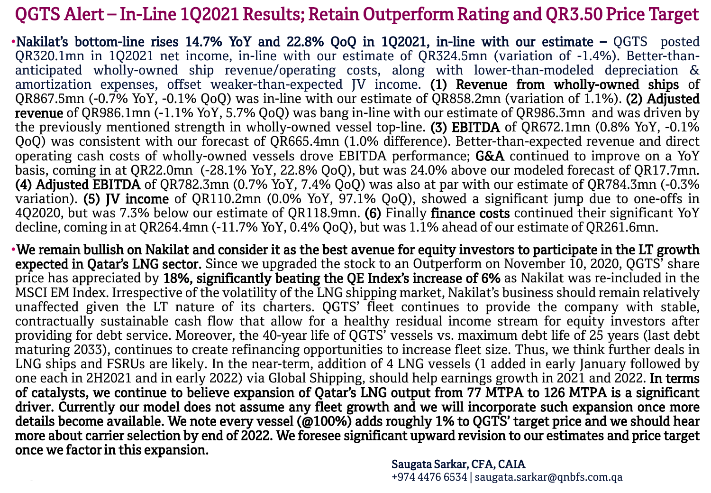## QGTS Alert – In-Line 1Q2021 Results; Retain Outperform Rating and QR3.50 Price Target

•Nakilat's bottom-line rises 14.7% YoY and 22.8% QoQ in 1Q2021, in-line with our estimate – QGTS posted QR320.1mn in 1Q2021 net income, in-line with our estimate of QR324.5mn (variation of -1.4%). Better-thananticipated wholly-owned ship revenue/operating costs, along with lower-than-modeled depreciation & amortization expenses, offset weaker-than-expected JV income. (1) Revenue from wholly-owned ships of QR867.5mn (-0.7% YoY, -0.1% QoQ) was in-line with our estimate of QR858.2mn (variation of 1.1%). (2) Adjusted revenue of QR986.1mn (-1.1% YoY, 5.7% QoQ) was bang in-line with our estimate of QR986.3mn and was driven by the previously mentioned strength in wholly-owned vessel top-line. (3) EBITDA of QR672.1mn (0.8% YoY, -0.1% QoQ) was consistent with our forecast of QR665.4mn (1.0% difference). Better-than-expected revenue and direct operating cash costs of wholly-owned vessels drove EBITDA performance; G&A continued to improve on a YoY basis, coming in at QR22.0mn (-28.1% YoY, 22.8% QoQ), but was 24.0% above our modeled forecast of QR17.7mn. (4) Adjusted EBITDA of QR782.3mn (0.7% YoY, 7.4% QoQ) was also at par with our estimate of QR784.3mn (-0.3% variation). (5) JV income of QR110.2mn (0.0% YoY, 97.1% QoQ), showed a significant jump due to one-offs in 4Q2020, but was 7.3% below our estimate of QR118.9mn. (6) Finally finance costs continued their significant YoY decline, coming in at QR264.4mn (-11.7% YoY, 0.4% QoQ), but was 1.1% ahead of our estimate of QR261.6mn.

•We remain bullish on Nakilat and consider it as the best avenue for equity investors to participate in the LT growth expected in Qatar's LNG sector. Since we upgraded the stock to an Outperform on November 10, 2020, QGTS' share price has appreciated by 18%, significantly beating the QE Index's increase of 6% as Nakilat was re-included in the MSCI EM Index. Irrespective of the volatility of the LNG shipping market, Nakilat's business should remain relatively unaffected given the LT nature of its charters. QGTS' fleet continues to provide the company with stable, contractually sustainable cash flow that allow for a healthy residual income stream for equity investors after providing for debt service. Moreover, the 40-year life of QGTS<sup>'</sup> vessels vs. maximum debt life of 25 years (last debt maturing 2033), continues to create refinancing opportunities to increase fleet size. Thus, we think further deals in LNG ships and FSRUs are likely. In the near-term, addition of 4 LNG vessels (1 added in early January followed by one each in 2H2021 and in early 2022) via Global Shipping, should help earnings growth in 2021 and 2022. In terms of catalysts, we continue to believe expansion of Qatar's LNG output from 77 MTPA to 126 MTPA is a significant driver. Currently our model does not assume any fleet growth and we will incorporate such expansion once more details become available. We note every vessel (@100%) adds roughly 1% to QGTS' target price and we should hear more about carrier selection by end of 2022. We foresee significant upward revision to our estimates and price target once we factor in this expansion.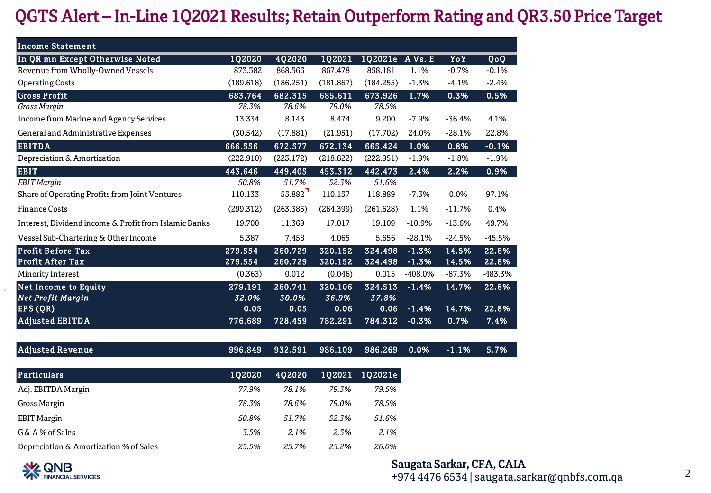## QGTS Alert – In-Line 1Q2021 Results; Retain Outperform Rating and QR3.50 Price Target<br>Income Statement<br>In Or up Except Otherwise Noted

| QG15 Alert – In-Line TQ2021 Results; Retain Outperform Rating and |               |           |           |           |           |          |          |
|-------------------------------------------------------------------|---------------|-----------|-----------|-----------|-----------|----------|----------|
| <b>Income Statement</b>                                           |               |           |           |           |           |          |          |
| In QR mn Except Otherwise Noted                                   | <b>1Q2020</b> | 4Q2020    | 1Q2021    | 1Q2021e   | A Vs. E   | YoY      | QoQ      |
| Revenue from Wholly-Owned Vessels                                 | 873.382       | 868.566   | 867.478   | 858.181   | 1.1%      | $-0.7%$  | $-0.1%$  |
| <b>Operating Costs</b>                                            | (189.618)     | (186.251) | (181.867) | (184.255) | $-1.3%$   | $-4.1%$  | $-2.4%$  |
| <b>Gross Profit</b>                                               | 683.764       | 682.315   | 685.611   | 673.926   | 1.7%      | 0.3%     | 0.5%     |
| Gross Margin                                                      | 78.3%         | 78.6%     | 79.0%     | 78.5%     |           |          |          |
| <b>Income from Marine and Agency Services</b>                     | 13.334        | 8.143     | 8.474     | 9.200     | $-7.9%$   | $-36.4%$ | 4.1%     |
| General and Administrative Expenses                               | (30.542)      | (17.881)  | (21.951)  | (17.702)  | 24.0%     | $-28.1%$ | 22.8%    |
| <b>EBITDA</b>                                                     | 666.556       | 672.577   | 672.134   | 665.424   | 1.0%      | 0.8%     | $-0.1%$  |
| Depreciation & Amortization                                       | (222.910)     | (223.172) | (218.822) | (222.951) | $-1.9%$   | $-1.8%$  | $-1.9%$  |
| <b>EBIT</b>                                                       | 443.646       | 449.405   | 453.312   | 442.473   | 2.4%      | 2.2%     | 0.9%     |
| <b>EBIT</b> Margin                                                | 50.8%         | 51.7%     | 52.3%     | 51.6%     |           |          |          |
| Share of Operating Profits from Joint Ventures                    | 110.133       | 55.882    | 110.157   | 118.889   | $-7.3%$   | 0.0%     | 97.1%    |
| <b>Finance Costs</b>                                              | (299.312)     | (263.385) | (264.399) | (261.628) | 1.1%      | $-11.7%$ | 0.4%     |
| Interest, Dividend income & Profit from Islamic Banks             | 19.700        | 11.369    | 17.017    | 19.109    | $-10.9%$  | $-13.6%$ | 49.7%    |
| Vessel Sub-Chartering & Other Income                              | 5.387         | 7.458     | 4.065     | 5.656     | $-28.1%$  | $-24.5%$ | $-45.5%$ |
| <b>Profit Before Tax</b>                                          | 279.554       | 260.729   | 320.152   | 324.498   | $-1.3%$   | 14.5%    | 22.8%    |
| <b>Profit After Tax</b>                                           | 279.554       | 260.729   | 320.152   | 324.498   | $-1.3%$   | 14.5%    | 22.8%    |
| Minority Interest                                                 | (0.363)       | 0.012     | (0.046)   | 0.015     | $-408.0%$ | $-87.3%$ | -483.3%  |
| <b>Net Income to Equity</b>                                       | 279.191       | 260.741   | 320.106   | 324.513   | $-1.4%$   | 14.7%    | 22.8%    |
| <b>Net Profit Margin</b>                                          | 32.0%         | 30.0%     | 36.9%     | 37.8%     |           |          |          |
| EPS(QR)                                                           | 0.05          | 0.05      | 0.06      | 0.06      | $-1.4%$   | 14.7%    | 22.8%    |
| <b>Adjusted EBITDA</b>                                            | 776.689       | 728.459   | 782.291   | 784.312   | $-0.3%$   | 0.7%     | 7.4%     |
| <b>Adjusted Revenue</b>                                           | 996.849       | 932.591   | 986.109   | 986.269   | 0.0%      | $-1.1%$  | 5.7%     |
| <b>Particulars</b>                                                | 1Q2020        | 4Q2020    | 1Q2021    | 1Q2021e   |           |          |          |
|                                                                   |               |           |           |           |           |          |          |

| <b>Particulars</b>                     | 102020 | 402020 | 102021 | 102021e |
|----------------------------------------|--------|--------|--------|---------|
| Adj. EBITDA Margin                     | 77.9%  | 78.1%  | 79.3%  | 79.5%   |
| Gross Margin                           | 78.3%  | 78.6%  | 79.0%  | 78.5%   |
| <b>EBIT Margin</b>                     | 50.8%  | 51.7%  | 52.3%  | 51.6%   |
| G& A% of Sales                         | 3.5%   | 2.1%   | 2.5%   | 2.1%    |
| Depreciation & Amortization % of Sales | 25.5%  | 25.7%  | 25.2%  | 26.0%   |



## Saugata Sarkar, CFA, CAIA

+974 4476 6534 | saugata.sarkar@qnbfs.com.qa